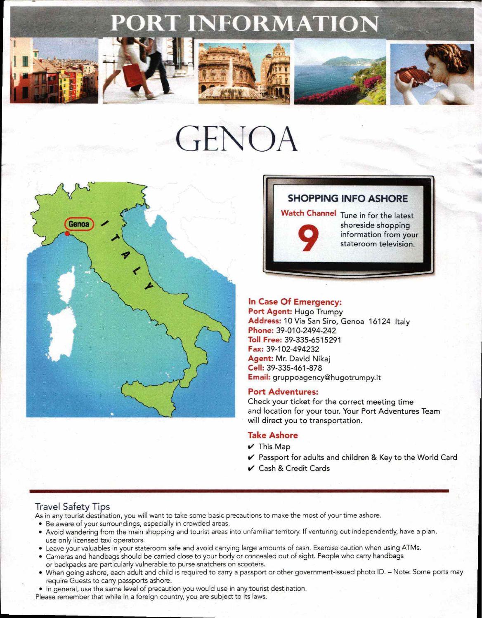# **RT INFORMATION**











# GENOA



# **SHOPPING INFO ASHORE**

**Watch Channel** Tune in for the latest shoreside shopping<br>information from yo<br>stateroom television information from your stateroom television.

# **In Case Of Emergency:**

**Port Agent:** Hugo Trumpy **Address:10** Via San Siro, Genoa 16124 Italy **Phone:** 39-010-2494-242 **Toll Free:** 39-335-6515291 **Fax:** 39-102-494232 **Agent:** Mr. David Nikaj **Cell:** 39-335-461-878 **Email:** gruppoagency@hugotrumpy.it

#### **Port Adventures:**

Check your ticket for the correct meeting time and location for your tour. Your Port Adventures Team will direct you to transportation.

#### **Take Ashore**

- $\checkmark$  This Map
- ✓ Passport for adults and children & Key to the World Card
- $\vee$  Cash & Credit Cards

## Travel Safety Tips

As in any tourist destination, you will want to take some basic precautions to make the most of your time ashore.

- Be aware of your surroundings, especially in crowded areas.
- Avoid wandering from the main shopping and tourist areas into unfamiliar territory. If venturing out independently, have a plan, use only licensed taxi operators.
- Leave your valuables in your stateroom safe and avoid carrying large amounts of cash. Exercise caution when using ATMs.
- Cameras and handbags should be carried close to your body or concealed out of sight. People who carry handbags or backpacks are particularly vulnerable to purse snatchers on scooters.
- When going ashore, each adult and child is required to carry a passport or other government-issued photo ID. Note: Some ports may require Guests to carry passports ashore.
- In general, use the same level of precaution you would use in any tourist destination.

Please remember that while in a foreign country, you are subject to its laws.